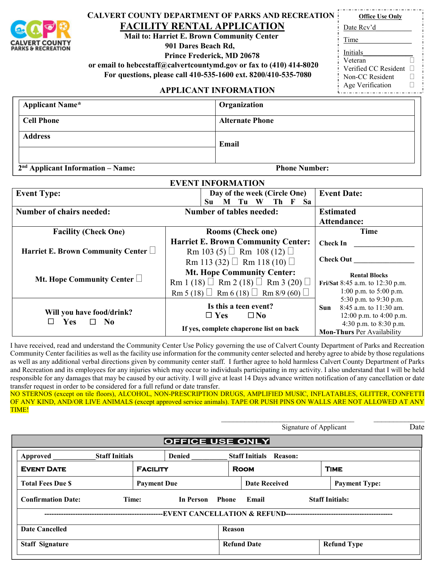

## **CALVERT COUNTY DEPARTMENT OF PARKS AND RECREATION**

**FACILITY RENTAL APPLICATION Mail to: Harriet E. Brown Community Center**

 **901 Dares Beach Rd,**

 **Prince Frederick, MD 20678**

 **or email to hebccstaff@calvertcountymd.gov or fax to (410) 414-8020**

| Time                 |  |
|----------------------|--|
| Initials             |  |
| Veteran              |  |
| Verified CC Resident |  |
| Non-CC Resident      |  |

Age Verification  $\Box$ 

## **APPLICANT INFORMATION**

| <b>Applicant Name*</b> | Organization           |
|------------------------|------------------------|
| <b>Cell Phone</b>      | <b>Alternate Phone</b> |
| <b>Address</b>         | Email                  |
|                        |                        |

**2nd Applicant Information – Name: Phone Number:**

|                                          | <b>EVENT INFORMATION</b>                             |                                                      |
|------------------------------------------|------------------------------------------------------|------------------------------------------------------|
| <b>Event Type:</b>                       | Day of the week (Circle One)                         | <b>Event Date:</b>                                   |
|                                          | W<br>Th<br>Sa<br>Su<br>Tu<br>$\mathbf F$             |                                                      |
| <b>Number of chairs needed:</b>          | <b>Number of tables needed:</b>                      | <b>Estimated</b>                                     |
|                                          |                                                      | Attendance:                                          |
| <b>Facility (Check One)</b>              | <b>Rooms (Check one)</b>                             | Time                                                 |
|                                          | <b>Harriet E. Brown Community Center:</b>            | <b>Check In</b>                                      |
| Harriet E. Brown Community Center $\Box$ | Rm 103 (5) $\Box$ Rm 108 (12) $\Box$                 |                                                      |
|                                          | Rm 113 (32) $\Box$ Rm 118 (10) $\Box$                | <b>Check Out</b>                                     |
|                                          | <b>Mt. Hope Community Center:</b>                    | <b>Rental Blocks</b>                                 |
| Mt. Hope Community Center $\Box$         | Rm 1 (18) $\Box$ Rm 2 (18) $\Box$ Rm 3 (20) $\Box$   | Fri/Sat 8:45 a.m. to 12:30 p.m.                      |
|                                          | Rm 5 (18) $\Box$ Rm 6 (18) $\Box$ Rm 8/9 (60) $\Box$ | 1:00 p.m. to $5:00$ p.m.                             |
|                                          |                                                      | 5:30 p.m. to 9:30 p.m.                               |
| Will you have food/drink?                | Is this a teen event?                                | 8:45 a.m. to 11:30 am.<br>Sun.                       |
| <b>Yes</b><br>N <sub>0</sub><br>$\Box$   | $\Box$ Yes<br>$\square$ No                           | 12:00 p.m. to 4:00 p.m.                              |
|                                          | If yes, complete chaperone list on back              | 4:30 p.m. to 8:30 p.m.<br>Mon-Thurs Per Availability |
|                                          |                                                      |                                                      |

I have received, read and understand the Community Center Use Policy governing the use of Calvert County Department of Parks and Recreation Community Center facilities as well as the facility use information for the community center selected and hereby agree to abide by those regulations as well as any additional verbal directions given by community center staff. I further agree to hold harmless Calvert County Department of Parks and Recreation and its employees for any injuries which may occur to individuals participating in my activity. I also understand that I will be held responsible for any damages that may be caused by our activity. I will give at least 14 Days advance written notification of any cancellation or date transfer request in order to be considered for a full refund or date transfer.

NO STERNOS (except on tile floors), ALCOHOL, NON-PRESCRIPTION DRUGS, AMPLIFIED MUSIC, INFLATABLES, GLITTER, CONFETTI OF ANY KIND, AND/OR LIVE ANIMALS (except approved service animals). TAPE OR PUSH PINS ON WALLS ARE NOT ALLOWED AT ANY TIME!

|                           |                       |                        |                    |                               | Signature of Applicant | Date |
|---------------------------|-----------------------|------------------------|--------------------|-------------------------------|------------------------|------|
|                           |                       | <b>OFFICE USE ONLY</b> |                    |                               |                        |      |
| Approved                  | <b>Staff Initials</b> | <b>Denied</b>          |                    | <b>Staff Initials Reason:</b> |                        |      |
| <b>EVENT DATE</b>         | <b>FACILITY</b>       |                        | <b>ROOM</b>        |                               | <b>TIME</b>            |      |
| <b>Total Fees Due \$</b>  | <b>Payment Due</b>    |                        |                    | <b>Date Received</b>          | <b>Payment Type:</b>   |      |
| <b>Confirmation Date:</b> | Time:                 | In Person Phone        | Email              |                               | <b>Staff Initials:</b> |      |
|                           |                       |                        |                    |                               |                        |      |
| <b>Date Cancelled</b>     |                       |                        | Reason             |                               |                        |      |
| <b>Staff Signature</b>    |                       |                        | <b>Refund Date</b> |                               | <b>Refund Type</b>     |      |

**Office Use Only** Date Rcv'd